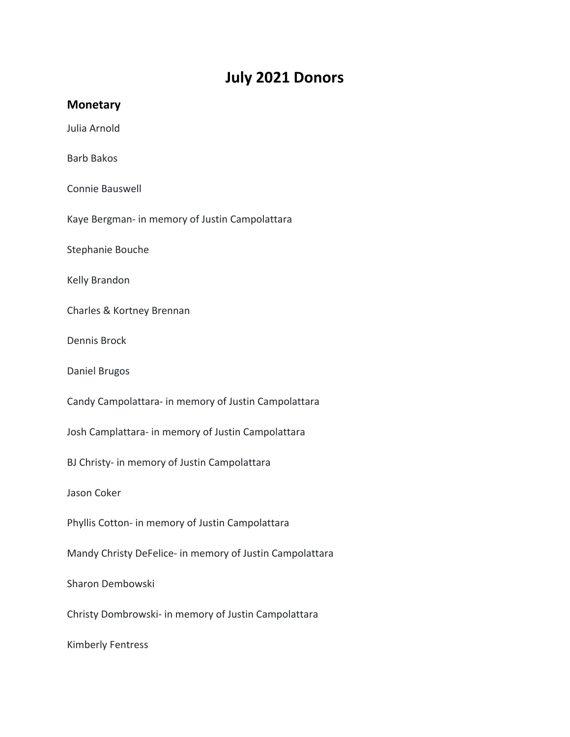## **July 2021 Donors**

## **Monetary**

Julia Arnold

Barb Bakos

Connie Bauswell

Kaye Bergman- in memory of Justin Campolattara

Stephanie Bouche

Kelly Brandon

Charles & Kortney Brennan

Dennis Brock

Daniel Brugos

Candy Campolattara- in memory of Justin Campolattara

Josh Camplattara- in memory of Justin Campolattara

BJ Christy- in memory of Justin Campolattara

Jason Coker

Phyllis Cotton- in memory of Justin Campolattara

Mandy Christy DeFelice- in memory of Justin Campolattara

Sharon Dembowski

Christy Dombrowski- in memory of Justin Campolattara

Kimberly Fentress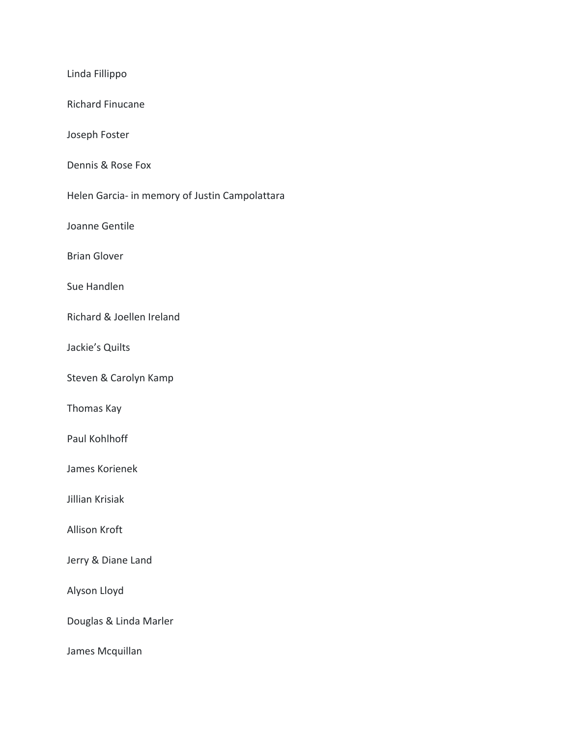Linda Fillippo Richard Finucane Joseph Foster Dennis & Rose Fox Helen Garcia- in memory of Justin Campolattara Joanne Gentile Brian Glover Sue Handlen Richard & Joellen Ireland Jackie's Quilts Steven & Carolyn Kamp Thomas Kay Paul Kohlhoff James Korienek Jillian Krisiak Allison Kroft Jerry & Diane Land Alyson Lloyd Douglas & Linda Marler James Mcquillan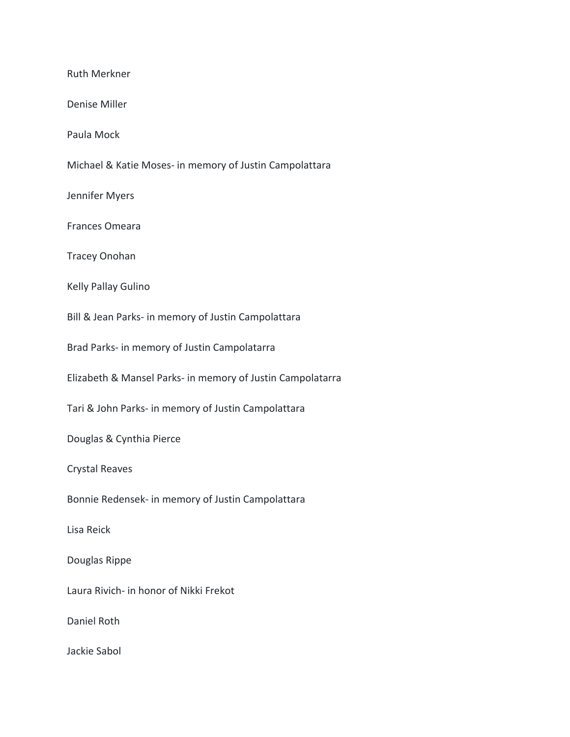Ruth Merkner Denise Miller Paula Mock Michael & Katie Moses- in memory of Justin Campolattara Jennifer Myers Frances Omeara Tracey Onohan Kelly Pallay Gulino Bill & Jean Parks- in memory of Justin Campolattara Brad Parks- in memory of Justin Campolatarra Elizabeth & Mansel Parks- in memory of Justin Campolatarra Tari & John Parks- in memory of Justin Campolattara Douglas & Cynthia Pierce Crystal Reaves Bonnie Redensek- in memory of Justin Campolattara Lisa Reick Douglas Rippe Laura Rivich- in honor of Nikki Frekot Daniel Roth Jackie Sabol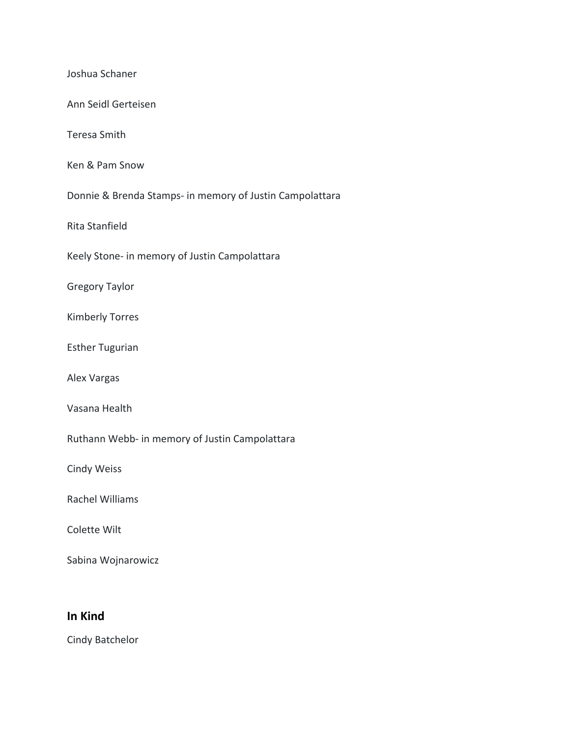| Joshua Schaner                                           |
|----------------------------------------------------------|
| Ann Seidl Gerteisen                                      |
| <b>Teresa Smith</b>                                      |
| Ken & Pam Snow                                           |
| Donnie & Brenda Stamps- in memory of Justin Campolattara |
| Rita Stanfield                                           |
| Keely Stone- in memory of Justin Campolattara            |
| <b>Gregory Taylor</b>                                    |
| <b>Kimberly Torres</b>                                   |
| <b>Esther Tugurian</b>                                   |
| Alex Vargas                                              |
| Vasana Health                                            |
| Ruthann Webb- in memory of Justin Campolattara           |
| <b>Cindy Weiss</b>                                       |
| Rachel Williams                                          |
| Colette Wilt                                             |
| Sabina Wojnarowicz                                       |
|                                                          |

## **In Kind**

Cindy Batchelor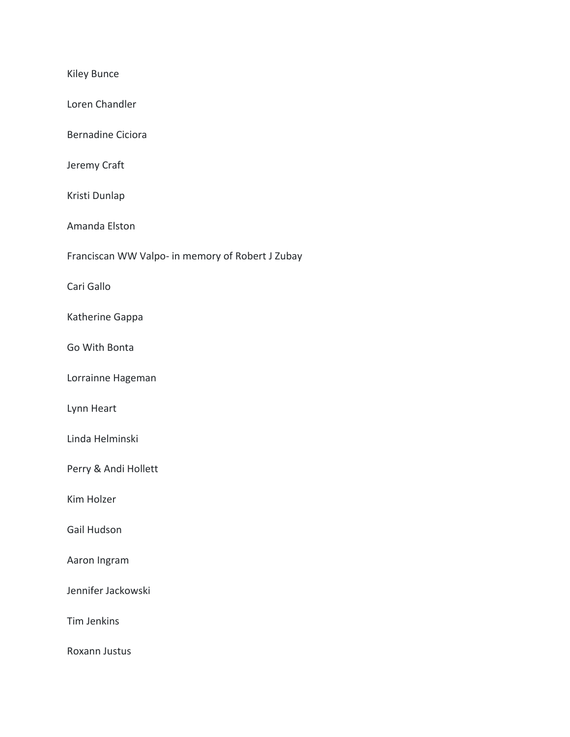Kiley Bunce Loren Chandler Bernadine Ciciora Jeremy Craft Kristi Dunlap Amanda Elston Franciscan WW Valpo- in memory of Robert J Zubay Cari Gallo Katherine Gappa Go With Bonta Lorrainne Hageman Lynn Heart Linda Helminski Perry & Andi Hollett Kim Holzer Gail Hudson Aaron Ingram Jennifer Jackowski Tim Jenkins Roxann Justus